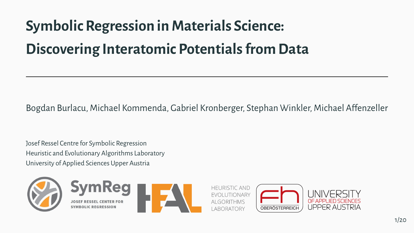# **Symbolic Regression in Materials Science: Discovering Interatomic Potentials from Data**

Bogdan Burlacu, Michael Kommenda, Gabriel Kronberger, Stephan Winkler, Michael Affenzeller

Josef Ressel Centre for Symbolic Regression Heuristic and Evolutionary Algorithms Laboratory University of Applied Sciences Upper Austria







**HEURISTIC AND FVOLUTIONARY** ABORATORY



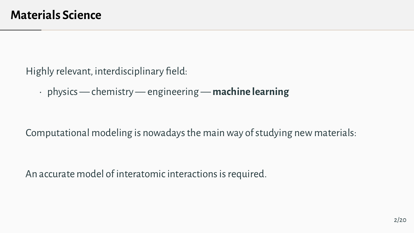Highly relevant, interdisciplinary field:

• physics — chemistry — engineering — **machine learning**

Computational modeling is nowadays the main way of studying new materials:

An accurate model of interatomic interactions is required.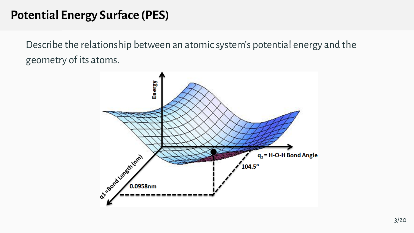# **Potential Energy Surface (PES)**

Describe the relationship between an atomic system's potential energy and the geometry of its atoms.

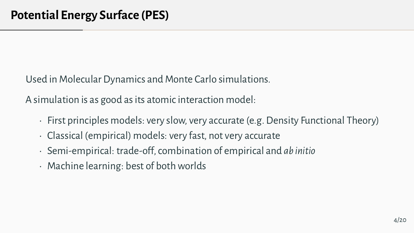Used in Molecular Dynamics and Monte Carlo simulations.

A simulation is as good as its atomic interaction model:

- First principles models: very slow, very accurate (e.g. Density Functional Theory)
- Classical (empirical) models: very fast, not very accurate
- Semi-empirical: trade-off, combination of empirical and *ab initio*
- Machine learning: best of both worlds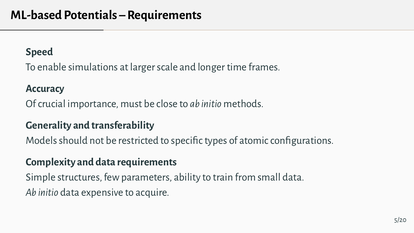#### **Speed**

To enable simulations at larger scale and longer time frames.

#### **Accuracy**

Of crucial importance, must be close to *ab initio* methods.

#### **Generality and transferability**

Models should not be restricted to specific types of atomic configurations.

#### **Complexity and data requirements**

Simple structures, few parameters, ability to train from small data. *Ab initio* data expensive to acquire.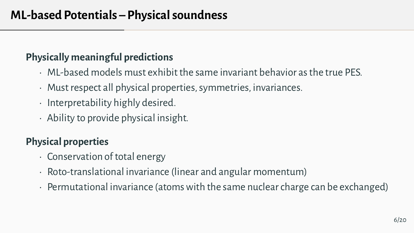# **Physically meaningful predictions**

- ML-based models must exhibit the same invariant behavior as the true PES.
- Must respect all physical properties, symmetries, invariances.
- Interpretability highly desired.
- Ability to provide physical insight.

# **Physical properties**

- Conservation of total energy
- Roto-translational invariance (linear and angular momentum)
- Permutational invariance (atoms with the same nuclear charge can be exchanged)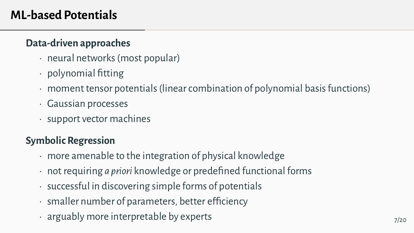# **ML-based Potentials**

#### **Data-driven approaches**

- neural networks (most popular)
- polynomial fitting
- moment tensor potentials (linear combination of polynomial basis functions)
- Gaussian processes
- support vector machines

# **Symbolic Regression**

- more amenable to the integration of physical knowledge
- not requiring *a priori* knowledge or predefined functional forms
- successful in discovering simple forms of potentials
- smaller number of parameters, better efficiency
- $\cdot$  arguably more interpretable by experts  $_{7/20}$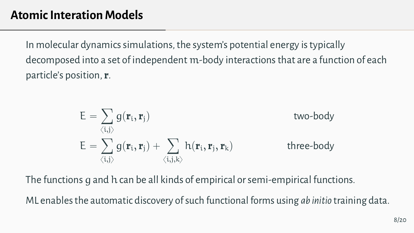In molecular dynamics simulations, the system's potential energy is typically decomposed into a set of independent m-body interactions that are a function of each particle's position, **r**.

$$
E = \sum_{\langle i,j \rangle} g(\mathbf{r}_i, \mathbf{r}_j)
$$
two-body  

$$
E = \sum_{\langle i,j \rangle} g(\mathbf{r}_i, \mathbf{r}_j) + \sum_{\langle i,j,k \rangle} h(\mathbf{r}_i, \mathbf{r}_j, \mathbf{r}_k)
$$
three-body

The functions g and h can be all kinds of empirical or semi-empirical functions.

ML enables the automatic discovery of such functional forms using *ab initio* training data.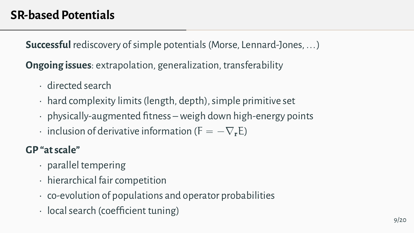**Successful** rediscovery of simple potentials (Morse, Lennard-Jones, ... )

**Ongoing issues**: extrapolation, generalization, transferability

- directed search
- hard complexity limits (length, depth), simple primitive set
- physically-augmented fitness weigh down high-energy points
- $\cdot$  inclusion of derivative information (F  $= -\nabla_{\bf r}E$ )

#### **GP "at scale"**

- parallel tempering
- hierarchical fair competition
- co-evolution of populations and operator probabilities
- local search (coefficient tuning)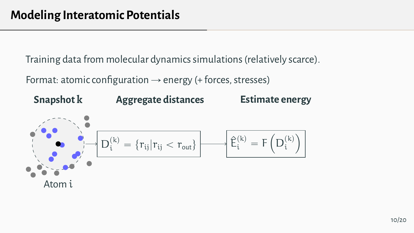Training data from molecular dynamics simulations (relatively scarce).

Format: atomic configuration  $\rightarrow$  energy (+ forces, stresses)

#### Atom i **Snapshot k** D  $(k)$  $\{r_{ii}|r_{ii} < r_{out}\}\$ **Aggregate distances**  $\hat{\mathsf{E}}_{i}^{(k)} = \mathsf{F}$  $\overline{\phantom{a}}$ D  $(k)$ i  $\overline{a}$ **Estimate energy**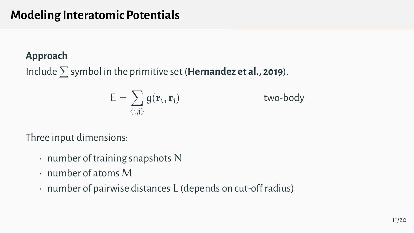#### **Approach**

Include <sup>ř</sup> symbol in the primitive set (**Hernandez et al., 2019**).

$$
E = \sum_{\langle i,j \rangle} g(\mathbf{r}_i, \mathbf{r}_j)
$$
 two-body

Three input dimensions:

- number of training snapshots N
- $\cdot$  number of atoms M
- number of pairwise distances L (depends on cut-off radius)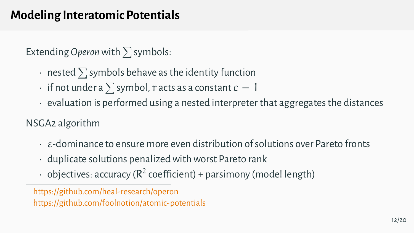Extending Operon with  $\sum$  symbols:

- $\overline{\phantom{a}}$  rested  $\overline{\phantom{a}}$  symbols behave as the identity function
- $\cdot$  hested  $\geq$  symbols behave as the identity function<br> $\cdot$  if not under a  $\sum$  symbol,  $r$  acts as a constant  $c=1$
- $\cdot$  evaluation is performed using a nested interpreter that aggregates the distances

NSGA2 algorithm

- $\cdot$   $\epsilon$ -dominance to ensure more even distribution of solutions over Pareto fronts
- duplicate solutions penalized with worst Pareto rank
- $\cdot$  objectives: accuracy ( $\mathsf{R}^2$  coefficient) + parsimony (model length)

<https://github.com/heal-research/operon> <https://github.com/foolnotion/atomic-potentials>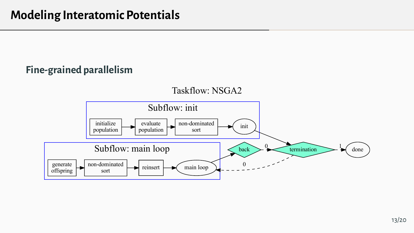#### **Fine-grained parallelism**

Taskflow: NSGA2

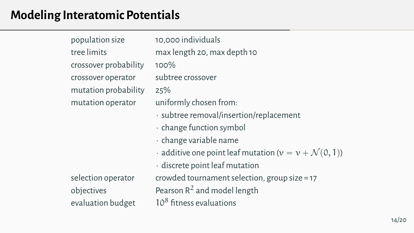# **Modeling Interatomic Potentials**

population size 10,000 individuals tree limits max length 20, max depth 10 crossover probability 100% crossover operator subtree crossover mutation probability 25% mutation operator uniformly chosen from: • subtree removal/insertion/replacement • change function symbol • change variable name  $\cdot$  additive one point leaf mutation ( $v = v + \mathcal{N}(0, 1)$ ) • discrete point leaf mutation selection operator crowded tournament selection, group size = 17 objectives  $\qquad \qquad \qquad$  Pearson R<sup>2</sup> and model length evaluation budget  $10^8$  fitness evaluations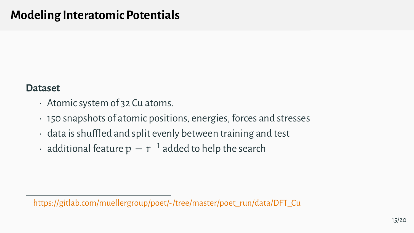#### **Dataset**

- Atomic system of 32 Cu atoms.
- 150 snapshots of atomic positions, energies, forces and stresses
- data is shuffled and split evenly between training and test
- $\,\cdot\,$  additional feature  $\rm p\, = r^{-1}$  added to help the search

[https://gitlab.com/muellergroup/poet/-/tree/master/poet\\_run/data/DFT\\_Cu](https://gitlab.com/muellergroup/poet/-/tree/master/poet_run/data/DFT_Cu)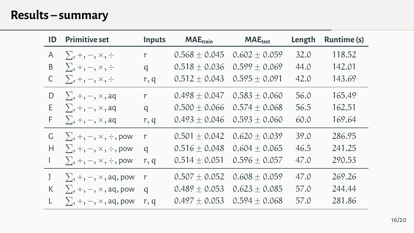# **Results – summary**

| ID | <b>Primitive set</b>                                                                                                                             | Inputs       | <b>MAE</b> <sub>train</sub> | <b>MAE</b> <sub>test</sub> | Length | Runtime (s) |  |
|----|--------------------------------------------------------------------------------------------------------------------------------------------------|--------------|-----------------------------|----------------------------|--------|-------------|--|
| Α  | $\sum, +, -, \times, \div$                                                                                                                       | $\mathbf{r}$ | $0.568 \pm 0.045$           | $0.602 + 0.059$            | 32.0   | 118.52      |  |
| B  | $\sum, +,-, \times, \div$                                                                                                                        | q            | $0.518 \pm 0.036$           | $0.599 + 0.069$            | 44.0   | 142.01      |  |
| С  | $\sum, +, -, \times, \div$                                                                                                                       | r, q         | $0.512 \pm 0.043$           | $0.595 + 0.091$            | 42.0   | 143.69      |  |
| D  | $\sum, +, -, \times,$ aq                                                                                                                         | r            | $0.498 + 0.047$             | $0.583 + 0.060$            | 56.0   | 165.49      |  |
| Ε  | $\sum, +, -, \times,$ aq                                                                                                                         | q            | $0.500 \pm 0.066$           | $0.574 + 0.068$            | 56.5   | 162.51      |  |
| F  | $\sum_{i=1}^{n}$ +, -, $\times$ , aq                                                                                                             | r, q         | $0.493 + 0.046$             | $0.593 + 0.060$            | 60.0   | 169.64      |  |
| G  | $\sum_{i}$ , $+$ , $-$ , $\times$ , $\div$ , pow                                                                                                 | r            | $0.501 + 0.042$             | $0.620 + 0.039$            | 39.0   | 286.95      |  |
| Н  | $\sum_{i}$ , +, -, $\times$ , $\div$ , pow                                                                                                       | q            | $0.516 \pm 0.048$           | $0.604 \pm 0.065$          | 46.5   | 241.25      |  |
|    | $\sum, +, -, \times, \div, \text{pow}$                                                                                                           | r, q         | $0.514 \pm 0.051$           | $0.596 + 0.057$            | 47.0   | 290.53      |  |
|    | $\sum$ , +, -, $\times$ , aq, pow                                                                                                                | r            | $0.507 \pm 0.052$           | $0.608 \pm 0.059$          | 47.0   | 269.26      |  |
| K  | $\sum, +, -, \times,$ aq, pow                                                                                                                    | q            | $0.489 \pm 0.053$           | $0.623 + 0.085$            | 57.0   | 244.44      |  |
| L  | $\sum_{i=1}^{n}$ , $\frac{1}{n}$ , $\frac{1}{n}$ , $\frac{1}{n}$ , $\frac{1}{n}$ , $\frac{1}{n}$ , $\frac{1}{n}$ , $\frac{1}{n}$ , $\frac{1}{n}$ | r, q         | $0.497 + 0.053$             | $0.594 + 0.068$            | 57.0   | 281.86      |  |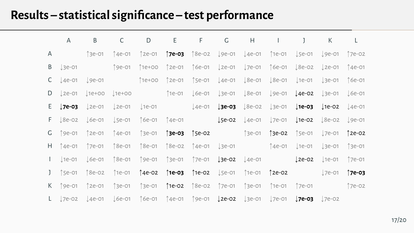# **Results – statistical significance – test performance**

|   | A                                         | B             | C             | D                                                                                                                                                                                                        | Ε |               | F G                        | $H$ $I$              |               | $\mathbf{I}$                          | K                  | L             |
|---|-------------------------------------------|---------------|---------------|----------------------------------------------------------------------------------------------------------------------------------------------------------------------------------------------------------|---|---------------|----------------------------|----------------------|---------------|---------------------------------------|--------------------|---------------|
| A |                                           |               |               | ↑3e-01 ↑4e-01 ↑2e-01 <b>↑7e-03</b> ↑8e-02 ↓9e-01 ↓4e-01 ↑1e-01 ↓5e-01 ↓9e-01 ↑7e-02                                                                                                                      |   |               |                            |                      |               |                                       |                    |               |
| Β | $\downarrow$ 3e-01                        |               | ↑9e-01        |                                                                                                                                                                                                          |   |               |                            |                      |               |                                       |                    |               |
|   | $C$ $\downarrow$ 4e-01 $\downarrow$ 9e-01 |               |               | ↑1e+00 ↑2e-01 ↑Se-01 ↓4e-01 ↓8e-01 ↓8e-01 ↓1e-01 ↓3e-01                                                                                                                                                  |   |               |                            |                      |               |                                       |                    | ↑6e-01        |
|   |                                           |               |               |                                                                                                                                                                                                          |   |               |                            |                      |               |                                       |                    |               |
|   |                                           |               |               | <b>E</b> J7e-03 J2e-01 J2e-01 J1e-01 J4e-01 J3e-03 J8e-02 J3e-01 J1e-03 J1e-02 J4e-01                                                                                                                    |   |               |                            |                      |               |                                       |                    |               |
|   |                                           |               |               | $F = \frac{1}{2}8e-02$ $\frac{1}{2}6e-01$ $\frac{1}{2}6e-01$ $\frac{1}{2}e-01$ $\frac{1}{2}e-02$ $\frac{1}{2}e-01$ $\frac{1}{2}e-02$ $\frac{1}{2}8e-02$ $\frac{1}{2}9e-01$                               |   |               |                            |                      |               |                                       |                    |               |
|   | $G$ 19e-01                                | ↑2e-01 ↑4e-01 |               |                                                                                                                                                                                                          |   |               |                            |                      |               |                                       |                    |               |
|   | $H \uparrow$ 4e-01                        |               |               |                                                                                                                                                                                                          |   |               |                            |                      |               | $\downarrow$ 1e-01 $\downarrow$ 3e-01 |                    | ↑3e-01        |
|   |                                           |               |               | 1 $\downarrow$ 1e-01 $\downarrow$ 6e-01 $\uparrow$ 8e-01 $\uparrow$ 9e-01 $\uparrow$ 3e-01 $\uparrow$ 7e-01 $\downarrow$ <b>3e-02</b> $\downarrow$ 4e-01                                                 |   |               |                            |                      |               | $\downarrow$ 2e-02                    | $\downarrow$ 1e-01 | ↑7e-01        |
|   | $J$ [Se-01                                | ↑8e-02        |               | 1e-01 <b>↑4e-02</b>                                                                                                                                                                                      |   | ↑1e-03 ↑1e-02 | <b>J</b> 5e-01             | ↑1e-01 <b>↑2e-02</b> |               |                                       | $\downarrow$ 7e-01 | ↑7e-o3        |
|   | $K$ 19e-01                                |               | ↑2e-01 ↑3e-01 | î 3e-01                                                                                                                                                                                                  |   |               | 1e-02 18e-02 17e-01 13e-01 |                      | ↑1e-01 ↑7e-01 |                                       |                    | <b>17e-02</b> |
|   |                                           |               |               | L $\downarrow$ 7e-02 $\downarrow$ 4e-01 $\downarrow$ 6e-01 $\uparrow$ 6e-01 $\uparrow$ 4e-01 $\uparrow$ 9e-01 $\downarrow$ <b>2e-02</b> $\downarrow$ 3e-01 $\downarrow$ 7e-0 <b>3</b> $\downarrow$ 7e-02 |   |               |                            |                      |               |                                       |                    |               |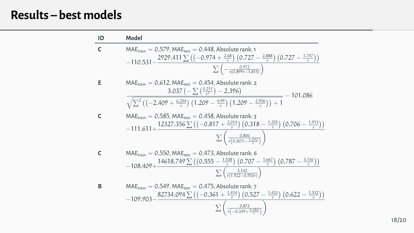# **Results – best models**

| ID | Model                                                                                                                                                                                                                                                                                                  |
|----|--------------------------------------------------------------------------------------------------------------------------------------------------------------------------------------------------------------------------------------------------------------------------------------------------------|
| C  | $MAEtrain = 0.579$ , $MAEtest = 0.448$ , Absolute rank: 1<br>$-110.531 - \frac{2929.411 \sum \left(\left(-0.974 + \frac{2.68}{r}\right) \left(0.727 - \frac{2.888}{r}\right) \left(0.727 - \frac{1.747}{r}\right)\right)}{2}$<br>$\sum \left(-\frac{0.972}{r(0.899r-1.815)}\right)$                    |
| Е  | $MAE_{train} = 0.612$ , $MAE_{test} = 0.454$ , Absolute rank: 2<br>$3.037\left(-\sum_{x=1}^{10.211}\right)-2.396\right)$<br>$=$ $-$ 101.086<br>$\sqrt{\sum^2 \left( \left( -2.409 + \frac{6.254}{r} \right) \left( 1.209 - \frac{4.99}{r} \right) \left( 1.209 - \frac{2.956}{r} \right) \right) + 1}$ |
| C  | $MAE_{train} = 0.585$ , $MAE_{test} = 0.458$ , Absolute rank: 3<br>$-111.611+\frac{12327.356\sum ((-0.817+\frac{2.014}{r})(0.318-\frac{1.255}{r})(0.706-\frac{1.913}{r}))}{r}$<br>$\sum \left( \frac{0.806}{r(0.307r - 1.292)} \right)$                                                                |
| C  | $MAE_{train} = 0.550$ , $MAE_{test} = 0.473$ , Absolute rank: 6<br>$-108.409+\frac{14618.749 \sum ((0.555 - \frac{1.538}{r}) (0.707 - \frac{1.667}{r}) (0.787 - \frac{3.116}{r}))}{r}$<br>$\sum \left( \frac{3.142}{\pi (1.922 - 0.953 \tau)} \right)$                                                 |
| в  | $MAE_{train} = 0.549$ , $MAE_{test} = 0.475$ , Absolute rank: 7<br>$-109.903 - \frac{82734.094 \sum ((-0.361 + \frac{1.414}{r}) (0.527 - \frac{1.433}{r}) (0.622 - \frac{1.512}{r}))}$<br>$\sum \left( \frac{0.873}{r(-0.339 + \frac{0.686}{r})} \right)$                                              |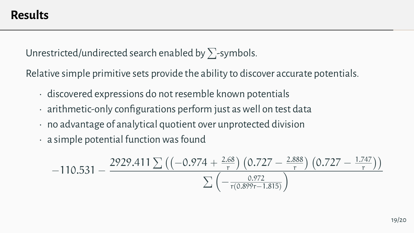Unrestricted/undirected search enabled by  $\sum$ -symbols.

Relative simple primitive sets provide the ability to discover accurate potentials.

- discovered expressions do not resemble known potentials
- arithmetic-only configurations perform just as well on test data
- no advantage of analytical quotient over unprotected division
- a simple potential function was found

$$
-110.531-\frac{2929.411\sum \left(\left(-0.974+\frac{2.68}{r}\right) \left(0.727-\frac{2.888}{r}\right) \left(0.727-\frac{1.747}{r}\right)\right)}{\sum \left(-\frac{0.972}{r(0.899r-1.815)}\right)}
$$